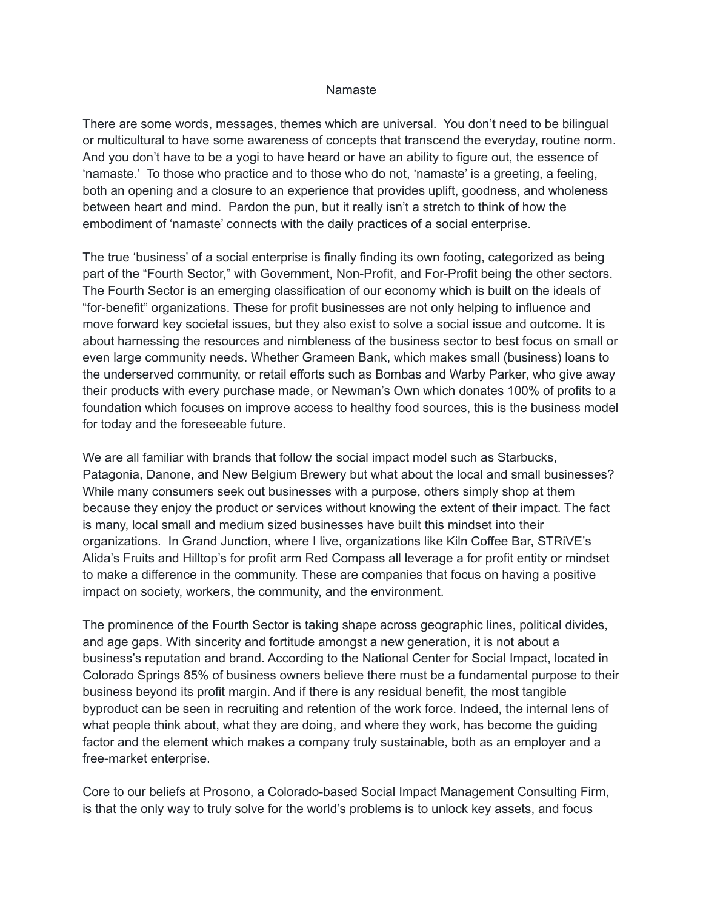## Namaste

There are some words, messages, themes which are universal. You don't need to be bilingual or multicultural to have some awareness of concepts that transcend the everyday, routine norm. And you don't have to be a yogi to have heard or have an ability to figure out, the essence of 'namaste.' To those who practice and to those who do not, 'namaste' is a greeting, a feeling, both an opening and a closure to an experience that provides uplift, goodness, and wholeness between heart and mind. Pardon the pun, but it really isn't a stretch to think of how the embodiment of 'namaste' connects with the daily practices of a social enterprise.

The true 'business' of a social enterprise is finally finding its own footing, categorized as being part of the "Fourth Sector," with Government, Non-Profit, and For-Profit being the other sectors. The Fourth Sector is an emerging classification of our economy which is built on the ideals of "for-benefit" organizations. These for profit businesses are not only helping to influence and move forward key societal issues, but they also exist to solve a social issue and outcome. It is about harnessing the resources and nimbleness of the business sector to best focus on small or even large community needs. Whether Grameen Bank, which makes small (business) loans to the underserved community, or retail efforts such as Bombas and Warby Parker, who give away their products with every purchase made, or Newman's Own which donates 100% of profits to a foundation which focuses on improve access to healthy food sources, this is the business model for today and the foreseeable future.

We are all familiar with brands that follow the social impact model such as Starbucks, Patagonia, Danone, and New Belgium Brewery but what about the local and small businesses? While many consumers seek out businesses with a purpose, others simply shop at them because they enjoy the product or services without knowing the extent of their impact. The fact is many, local small and medium sized businesses have built this mindset into their organizations. In Grand Junction, where I live, organizations like Kiln Coffee Bar, STRiVE's Alida's Fruits and Hilltop's for profit arm Red Compass all leverage a for profit entity or mindset to make a difference in the community. These are companies that focus on having a positive impact on society, workers, the community, and the environment.

The prominence of the Fourth Sector is taking shape across geographic lines, political divides, and age gaps. With sincerity and fortitude amongst a new generation, it is not about a business's reputation and brand. According to the National Center for Social Impact, located in Colorado Springs 85% of business owners believe there must be a fundamental purpose to their business beyond its profit margin. And if there is any residual benefit, the most tangible byproduct can be seen in recruiting and retention of the work force. Indeed, the internal lens of what people think about, what they are doing, and where they work, has become the guiding factor and the element which makes a company truly sustainable, both as an employer and a free-market enterprise.

Core to our beliefs at Prosono, a Colorado-based Social Impact Management Consulting Firm, is that the only way to truly solve for the world's problems is to unlock key assets, and focus